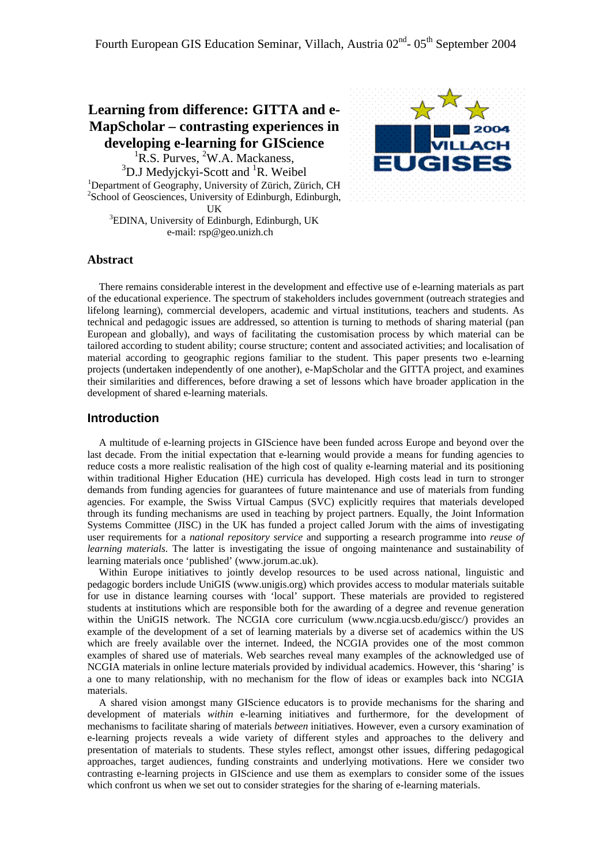# **Learning from difference: GITTA and e-MapScholar – contrasting experiences in developing e-learning for GIScience**

<sup>1</sup>R.S. Purves, <sup>2</sup>W.A. Mackaness,  ${}^{3}$ D.J Medyjckyi-Scott and  ${}^{1}$ R. Weibel<br> ${}^{1}$ Penertment of Geography, University of Zijrich Zij <sup>1</sup>Department of Geography, University of Zürich, Zürich, CH <sup>2</sup>School of Geosciences, University of Edinburgh, Edinburgh,

UK<br>
<sup>3</sup>EDINA, University of Edinburgh, Edinburgh, UK e-mail: rsp@geo.unizh.ch



# **Abstract**

There remains considerable interest in the development and effective use of e-learning materials as part of the educational experience. The spectrum of stakeholders includes government (outreach strategies and lifelong learning), commercial developers, academic and virtual institutions, teachers and students. As technical and pedagogic issues are addressed, so attention is turning to methods of sharing material (pan European and globally), and ways of facilitating the customisation process by which material can be tailored according to student ability; course structure; content and associated activities; and localisation of material according to geographic regions familiar to the student. This paper presents two e-learning projects (undertaken independently of one another), e-MapScholar and the GITTA project, and examines their similarities and differences, before drawing a set of lessons which have broader application in the development of shared e-learning materials.

# **Introduction**

A multitude of e-learning projects in GIScience have been funded across Europe and beyond over the last decade. From the initial expectation that e-learning would provide a means for funding agencies to reduce costs a more realistic realisation of the high cost of quality e-learning material and its positioning within traditional Higher Education (HE) curricula has developed. High costs lead in turn to stronger demands from funding agencies for guarantees of future maintenance and use of materials from funding agencies. For example, the Swiss Virtual Campus (SVC) explicitly requires that materials developed through its funding mechanisms are used in teaching by project partners. Equally, the Joint Information Systems Committee (JISC) in the UK has funded a project called Jorum with the aims of investigating user requirements for a *national repository service* and supporting a research programme into *reuse of learning materials*. The latter is investigating the issue of ongoing maintenance and sustainability of learning materials once 'published' (www.jorum.ac.uk).

Within Europe initiatives to jointly develop resources to be used across national, linguistic and pedagogic borders include UniGIS (www.unigis.org) which provides access to modular materials suitable for use in distance learning courses with 'local' support. These materials are provided to registered students at institutions which are responsible both for the awarding of a degree and revenue generation within the UniGIS network. The NCGIA core curriculum (www.ncgia.ucsb.edu/giscc/) provides an example of the development of a set of learning materials by a diverse set of academics within the US which are freely available over the internet. Indeed, the NCGIA provides one of the most common examples of shared use of materials. Web searches reveal many examples of the acknowledged use of NCGIA materials in online lecture materials provided by individual academics. However, this 'sharing' is a one to many relationship, with no mechanism for the flow of ideas or examples back into NCGIA materials.

A shared vision amongst many GIScience educators is to provide mechanisms for the sharing and development of materials *within* e-learning initiatives and furthermore, for the development of mechanisms to facilitate sharing of materials *between* initiatives. However, even a cursory examination of e-learning projects reveals a wide variety of different styles and approaches to the delivery and presentation of materials to students. These styles reflect, amongst other issues, differing pedagogical approaches, target audiences, funding constraints and underlying motivations. Here we consider two contrasting e-learning projects in GIScience and use them as exemplars to consider some of the issues which confront us when we set out to consider strategies for the sharing of e-learning materials.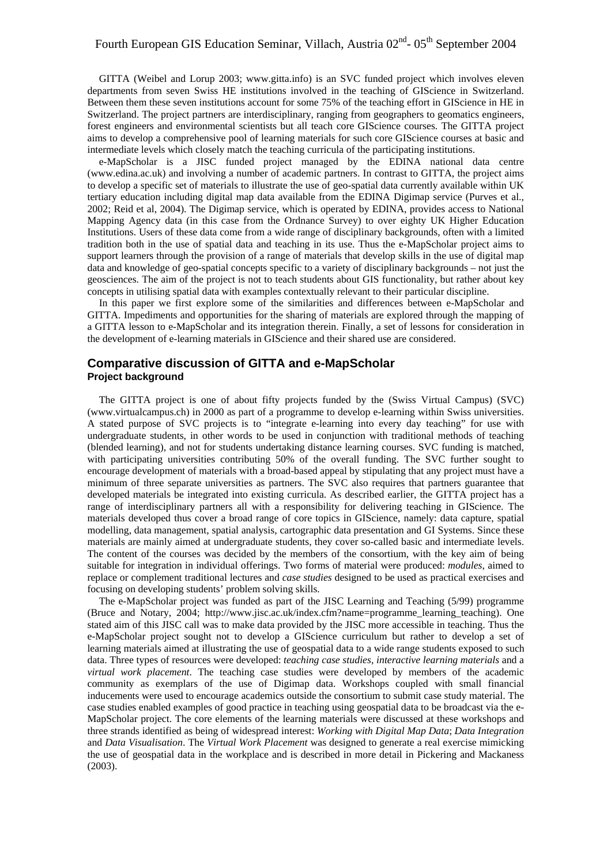# Fourth European GIS Education Seminar, Villach, Austria 02<sup>nd</sup>- 05<sup>th</sup> September 2004

GITTA (Weibel and Lorup 2003; www.gitta.info) is an SVC funded project which involves eleven departments from seven Swiss HE institutions involved in the teaching of GIScience in Switzerland. Between them these seven institutions account for some 75% of the teaching effort in GIScience in HE in Switzerland. The project partners are interdisciplinary, ranging from geographers to geomatics engineers, forest engineers and environmental scientists but all teach core GIScience courses. The GITTA project aims to develop a comprehensive pool of learning materials for such core GIScience courses at basic and intermediate levels which closely match the teaching curricula of the participating institutions.

e-MapScholar is a JISC funded project managed by the EDINA national data centre (www.edina.ac.uk) and involving a number of academic partners. In contrast to GITTA, the project aims to develop a specific set of materials to illustrate the use of geo-spatial data currently available within UK tertiary education including digital map data available from the EDINA Digimap service (Purves et al., 2002; Reid et al, 2004). The Digimap service, which is operated by EDINA, provides access to National Mapping Agency data (in this case from the Ordnance Survey) to over eighty UK Higher Education Institutions. Users of these data come from a wide range of disciplinary backgrounds, often with a limited tradition both in the use of spatial data and teaching in its use. Thus the e-MapScholar project aims to support learners through the provision of a range of materials that develop skills in the use of digital map data and knowledge of geo-spatial concepts specific to a variety of disciplinary backgrounds – not just the geosciences. The aim of the project is not to teach students about GIS functionality, but rather about key concepts in utilising spatial data with examples contextually relevant to their particular discipline.

In this paper we first explore some of the similarities and differences between e-MapScholar and GITTA. Impediments and opportunities for the sharing of materials are explored through the mapping of a GITTA lesson to e-MapScholar and its integration therein. Finally, a set of lessons for consideration in the development of e-learning materials in GIScience and their shared use are considered.

# **Comparative discussion of GITTA and e-MapScholar Project background**

The GITTA project is one of about fifty projects funded by the (Swiss Virtual Campus) (SVC) (www.virtualcampus.ch) in 2000 as part of a programme to develop e-learning within Swiss universities. A stated purpose of SVC projects is to "integrate e-learning into every day teaching" for use with undergraduate students, in other words to be used in conjunction with traditional methods of teaching (blended learning), and not for students undertaking distance learning courses. SVC funding is matched, with participating universities contributing 50% of the overall funding. The SVC further sought to encourage development of materials with a broad-based appeal by stipulating that any project must have a minimum of three separate universities as partners. The SVC also requires that partners guarantee that developed materials be integrated into existing curricula. As described earlier, the GITTA project has a range of interdisciplinary partners all with a responsibility for delivering teaching in GIScience. The materials developed thus cover a broad range of core topics in GIScience, namely: data capture, spatial modelling, data management, spatial analysis, cartographic data presentation and GI Systems. Since these materials are mainly aimed at undergraduate students, they cover so-called basic and intermediate levels. The content of the courses was decided by the members of the consortium, with the key aim of being suitable for integration in individual offerings. Two forms of material were produced: *modules*, aimed to replace or complement traditional lectures and *case studies* designed to be used as practical exercises and focusing on developing students' problem solving skills.

The e-MapScholar project was funded as part of the JISC Learning and Teaching (5/99) programme (Bruce and Notary, 2004; http://www.jisc.ac.uk/index.cfm?name=programme\_learning\_teaching). One stated aim of this JISC call was to make data provided by the JISC more accessible in teaching. Thus the e-MapScholar project sought not to develop a GIScience curriculum but rather to develop a set of learning materials aimed at illustrating the use of geospatial data to a wide range students exposed to such data. Three types of resources were developed: *teaching case studies*, *interactive learning materials* and a *virtual work placement*. The teaching case studies were developed by members of the academic community as exemplars of the use of Digimap data. Workshops coupled with small financial inducements were used to encourage academics outside the consortium to submit case study material. The case studies enabled examples of good practice in teaching using geospatial data to be broadcast via the e-MapScholar project. The core elements of the learning materials were discussed at these workshops and three strands identified as being of widespread interest: *Working with Digital Map Data*; *Data Integration* and *Data Visualisation*. The *Virtual Work Placement* was designed to generate a real exercise mimicking the use of geospatial data in the workplace and is described in more detail in Pickering and Mackaness (2003).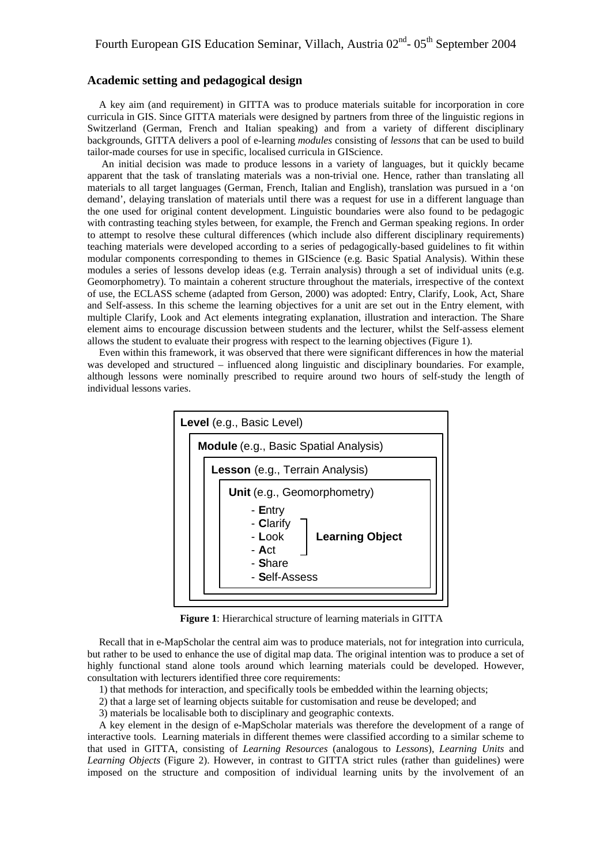# **Academic setting and pedagogical design**

A key aim (and requirement) in GITTA was to produce materials suitable for incorporation in core curricula in GIS. Since GITTA materials were designed by partners from three of the linguistic regions in Switzerland (German, French and Italian speaking) and from a variety of different disciplinary backgrounds, GITTA delivers a pool of e-learning *modules* consisting of *lessons* that can be used to build tailor-made courses for use in specific, localised curricula in GIScience.

An initial decision was made to produce lessons in a variety of languages, but it quickly became apparent that the task of translating materials was a non-trivial one. Hence, rather than translating all materials to all target languages (German, French, Italian and English), translation was pursued in a 'on demand', delaying translation of materials until there was a request for use in a different language than the one used for original content development. Linguistic boundaries were also found to be pedagogic with contrasting teaching styles between, for example, the French and German speaking regions. In order to attempt to resolve these cultural differences (which include also different disciplinary requirements) teaching materials were developed according to a series of pedagogically-based guidelines to fit within modular components corresponding to themes in GIScience (e.g. Basic Spatial Analysis). Within these modules a series of lessons develop ideas (e.g. Terrain analysis) through a set of individual units (e.g. Geomorphometry). To maintain a coherent structure throughout the materials, irrespective of the context of use, the ECLASS scheme (adapted from Gerson, 2000) was adopted: Entry, Clarify, Look, Act, Share and Self-assess. In this scheme the learning objectives for a unit are set out in the Entry element, with multiple Clarify, Look and Act elements integrating explanation, illustration and interaction. The Share element aims to encourage discussion between students and the lecturer, whilst the Self-assess element allows the student to evaluate their progress with respect to the learning objectives (Figure 1).

Even within this framework, it was observed that there were significant differences in how the material was developed and structured – influenced along linguistic and disciplinary boundaries. For example, although lessons were nominally prescribed to require around two hours of self-study the length of individual lessons varies.



**Figure 1**: Hierarchical structure of learning materials in GITTA

Recall that in e-MapScholar the central aim was to produce materials, not for integration into curricula, but rather to be used to enhance the use of digital map data. The original intention was to produce a set of highly functional stand alone tools around which learning materials could be developed. However, consultation with lecturers identified three core requirements:

- 1) that methods for interaction, and specifically tools be embedded within the learning objects;
- 2) that a large set of learning objects suitable for customisation and reuse be developed; and
- 3) materials be localisable both to disciplinary and geographic contexts.

A key element in the design of e-MapScholar materials was therefore the development of a range of interactive tools. Learning materials in different themes were classified according to a similar scheme to that used in GITTA, consisting of *Learning Resources* (analogous to *Lessons*), *Learning Units* and *Learning Objects* (Figure 2). However, in contrast to GITTA strict rules (rather than guidelines) were imposed on the structure and composition of individual learning units by the involvement of an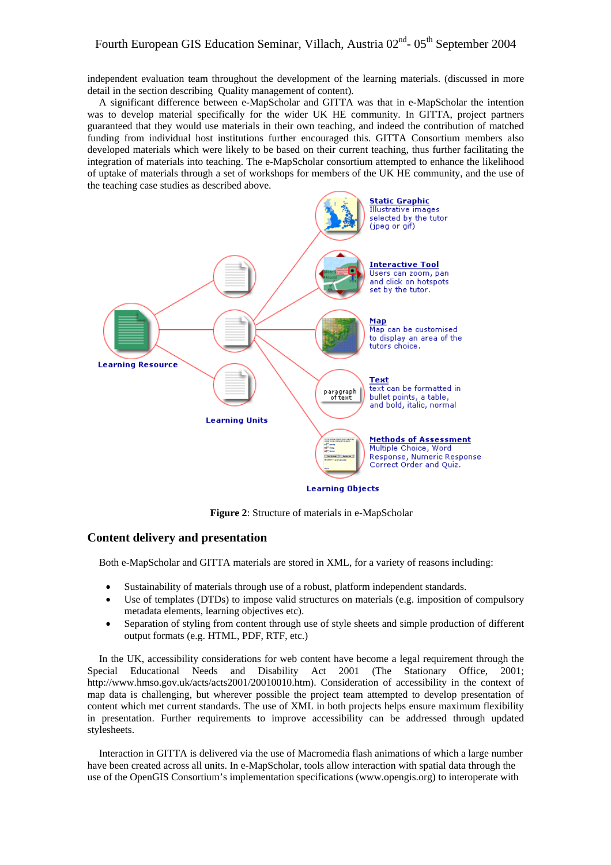# Fourth European GIS Education Seminar, Villach, Austria 02<sup>nd</sup>- 05<sup>th</sup> September 2004

independent evaluation team throughout the development of the learning materials. (discussed in more detail in the section describing Quality management of content).

A significant difference between e-MapScholar and GITTA was that in e-MapScholar the intention was to develop material specifically for the wider UK HE community. In GITTA, project partners guaranteed that they would use materials in their own teaching, and indeed the contribution of matched funding from individual host institutions further encouraged this. GITTA Consortium members also developed materials which were likely to be based on their current teaching, thus further facilitating the integration of materials into teaching. The e-MapScholar consortium attempted to enhance the likelihood of uptake of materials through a set of workshops for members of the UK HE community, and the use of the teaching case studies as described above.



**Figure 2**: Structure of materials in e-MapScholar

# **Content delivery and presentation**

Both e-MapScholar and GITTA materials are stored in XML, for a variety of reasons including:

- Sustainability of materials through use of a robust, platform independent standards.
- Use of templates (DTDs) to impose valid structures on materials (e.g. imposition of compulsory metadata elements, learning objectives etc).
- Separation of styling from content through use of style sheets and simple production of different output formats (e.g. HTML, PDF, RTF, etc.)

In the UK, accessibility considerations for web content have become a legal requirement through the Special Educational Needs and Disability Act 2001 (The Stationary Office, 2001; http://www.hmso.gov.uk/acts/acts2001/20010010.htm). Consideration of accessibility in the context of map data is challenging, but wherever possible the project team attempted to develop presentation of content which met current standards. The use of XML in both projects helps ensure maximum flexibility in presentation. Further requirements to improve accessibility can be addressed through updated stylesheets.

Interaction in GITTA is delivered via the use of Macromedia flash animations of which a large number have been created across all units. In e-MapScholar, tools allow interaction with spatial data through the use of the OpenGIS Consortium's implementation specifications (www.opengis.org) to interoperate with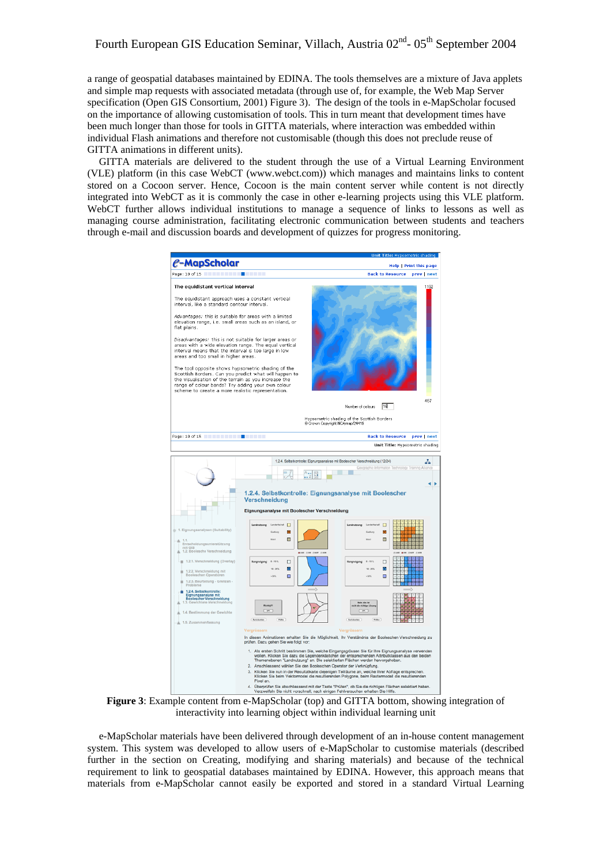a range of geospatial databases maintained by EDINA. The tools themselves are a mixture of Java applets and simple map requests with associated metadata (through use of, for example, the Web Map Server specification (Open GIS Consortium, 2001) Figure 3). The design of the tools in e-MapScholar focused on the importance of allowing customisation of tools. This in turn meant that development times have been much longer than those for tools in GITTA materials, where interaction was embedded within individual Flash animations and therefore not customisable (though this does not preclude reuse of GITTA animations in different units).

GITTA materials are delivered to the student through the use of a Virtual Learning Environment (VLE) platform (in this case WebCT (www.webct.com)) which manages and maintains links to content stored on a Cocoon server. Hence, Cocoon is the main content server while content is not directly integrated into WebCT as it is commonly the case in other e-learning projects using this VLE platform. WebCT further allows individual institutions to manage a sequence of links to lessons as well as managing course administration, facilitating electronic communication between students and teachers through e-mail and discussion boards and development of quizzes for progress monitoring.



interactivity into learning object within individual learning unit

e-MapScholar materials have been delivered through development of an in-house content management system. This system was developed to allow users of e-MapScholar to customise materials (described further in the section on Creating, modifying and sharing materials) and because of the technical requirement to link to geospatial databases maintained by EDINA. However, this approach means that materials from e-MapScholar cannot easily be exported and stored in a standard Virtual Learning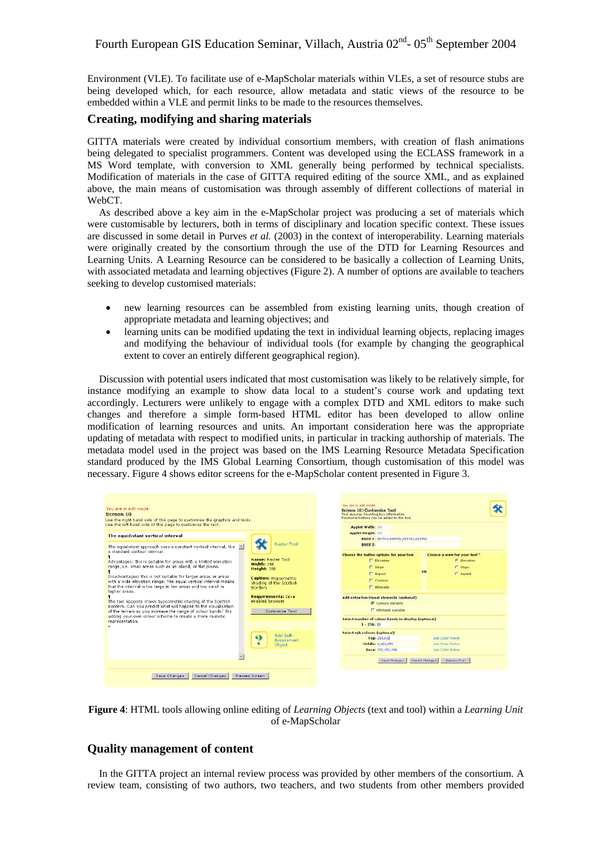Environment (VLE). To facilitate use of e-MapScholar materials within VLEs, a set of resource stubs are being developed which, for each resource, allow metadata and static views of the resource to be embedded within a VLE and permit links to be made to the resources themselves.

## **Creating, modifying and sharing materials**

GITTA materials were created by individual consortium members, with creation of flash animations being delegated to specialist programmers. Content was developed using the ECLASS framework in a MS Word template, with conversion to XML generally being performed by technical specialists. Modification of materials in the case of GITTA required editing of the source XML, and as explained above, the main means of customisation was through assembly of different collections of material in WebCT.

As described above a key aim in the e-MapScholar project was producing a set of materials which were customisable by lecturers, both in terms of disciplinary and location specific context. These issues are discussed in some detail in Purves *et al.* (2003) in the context of interoperability. Learning materials were originally created by the consortium through the use of the DTD for Learning Resources and Learning Units. A Learning Resource can be considered to be basically a collection of Learning Units, with associated metadata and learning objectives (Figure 2). A number of options are available to teachers seeking to develop customised materials:

- new learning resources can be assembled from existing learning units, though creation of appropriate metadata and learning objectives; and
- learning units can be modified updating the text in individual learning objects, replacing images and modifying the behaviour of individual tools (for example by changing the geographical extent to cover an entirely different geographical region).

Discussion with potential users indicated that most customisation was likely to be relatively simple, for instance modifying an example to show data local to a student's course work and updating text accordingly. Lecturers were unlikely to engage with a complex DTD and XML editors to make such changes and therefore a simple form-based HTML editor has been developed to allow online modification of learning resources and units. An important consideration here was the appropriate updating of metadata with respect to modified units, in particular in tracking authorship of materials. The metadata model used in the project was based on the IMS Learning Resource Metadata Specification standard produced by the IMS Global Learning Consortium, though customisation of this model was necessary. Figure 4 shows editor screens for the e-MapScholar content presented in Figure 3.



**Figure 4**: HTML tools allowing online editing of *Learning Objects* (text and tool) within a *Learning Unit* of e-MapScholar

# **Quality management of content**

In the GITTA project an internal review process was provided by other members of the consortium. A review team, consisting of two authors, two teachers, and two students from other members provided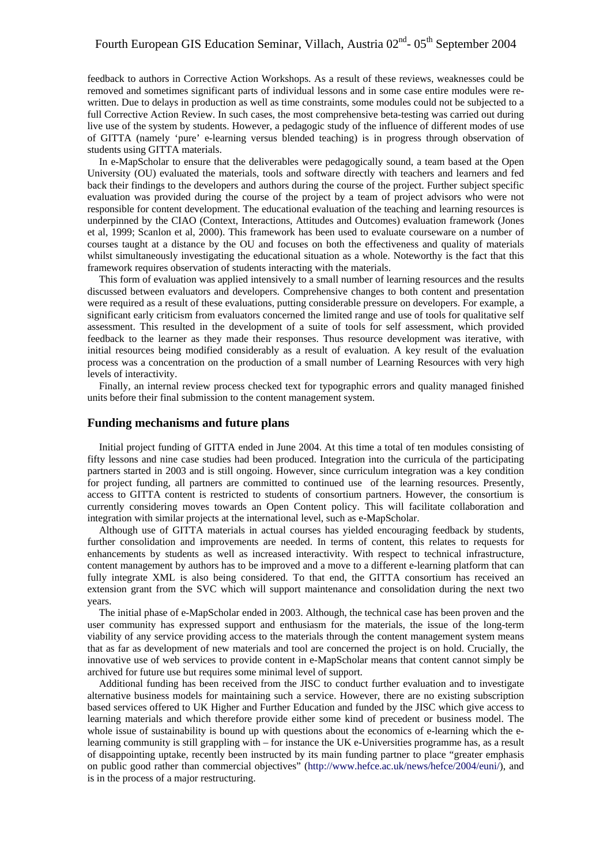feedback to authors in Corrective Action Workshops. As a result of these reviews, weaknesses could be removed and sometimes significant parts of individual lessons and in some case entire modules were rewritten. Due to delays in production as well as time constraints, some modules could not be subjected to a full Corrective Action Review. In such cases, the most comprehensive beta-testing was carried out during live use of the system by students. However, a pedagogic study of the influence of different modes of use of GITTA (namely 'pure' e-learning versus blended teaching) is in progress through observation of students using GITTA materials.

In e-MapScholar to ensure that the deliverables were pedagogically sound, a team based at the Open University (OU) evaluated the materials, tools and software directly with teachers and learners and fed back their findings to the developers and authors during the course of the project. Further subject specific evaluation was provided during the course of the project by a team of project advisors who were not responsible for content development. The educational evaluation of the teaching and learning resources is underpinned by the CIAO (Context, Interactions, Attitudes and Outcomes) evaluation framework (Jones et al, 1999; Scanlon et al, 2000). This framework has been used to evaluate courseware on a number of courses taught at a distance by the OU and focuses on both the effectiveness and quality of materials whilst simultaneously investigating the educational situation as a whole. Noteworthy is the fact that this framework requires observation of students interacting with the materials.

This form of evaluation was applied intensively to a small number of learning resources and the results discussed between evaluators and developers. Comprehensive changes to both content and presentation were required as a result of these evaluations, putting considerable pressure on developers. For example, a significant early criticism from evaluators concerned the limited range and use of tools for qualitative self assessment. This resulted in the development of a suite of tools for self assessment, which provided feedback to the learner as they made their responses. Thus resource development was iterative, with initial resources being modified considerably as a result of evaluation. A key result of the evaluation process was a concentration on the production of a small number of Learning Resources with very high levels of interactivity.

Finally, an internal review process checked text for typographic errors and quality managed finished units before their final submission to the content management system.

## **Funding mechanisms and future plans**

Initial project funding of GITTA ended in June 2004. At this time a total of ten modules consisting of fifty lessons and nine case studies had been produced. Integration into the curricula of the participating partners started in 2003 and is still ongoing. However, since curriculum integration was a key condition for project funding, all partners are committed to continued use of the learning resources. Presently, access to GITTA content is restricted to students of consortium partners. However, the consortium is currently considering moves towards an Open Content policy. This will facilitate collaboration and integration with similar projects at the international level, such as e-MapScholar.

Although use of GITTA materials in actual courses has yielded encouraging feedback by students, further consolidation and improvements are needed. In terms of content, this relates to requests for enhancements by students as well as increased interactivity. With respect to technical infrastructure, content management by authors has to be improved and a move to a different e-learning platform that can fully integrate XML is also being considered. To that end, the GITTA consortium has received an extension grant from the SVC which will support maintenance and consolidation during the next two years.

The initial phase of e-MapScholar ended in 2003. Although, the technical case has been proven and the user community has expressed support and enthusiasm for the materials, the issue of the long-term viability of any service providing access to the materials through the content management system means that as far as development of new materials and tool are concerned the project is on hold. Crucially, the innovative use of web services to provide content in e-MapScholar means that content cannot simply be archived for future use but requires some minimal level of support.

Additional funding has been received from the JISC to conduct further evaluation and to investigate alternative business models for maintaining such a service. However, there are no existing subscription based services offered to UK Higher and Further Education and funded by the JISC which give access to learning materials and which therefore provide either some kind of precedent or business model. The whole issue of sustainability is bound up with questions about the economics of e-learning which the elearning community is still grappling with – for instance the UK e-Universities programme has, as a result of disappointing uptake, recently been instructed by its main funding partner to place "greater emphasis on public good rather than commercial objectives" (http://www.hefce.ac.uk/news/hefce/2004/euni/), and is in the process of a major restructuring.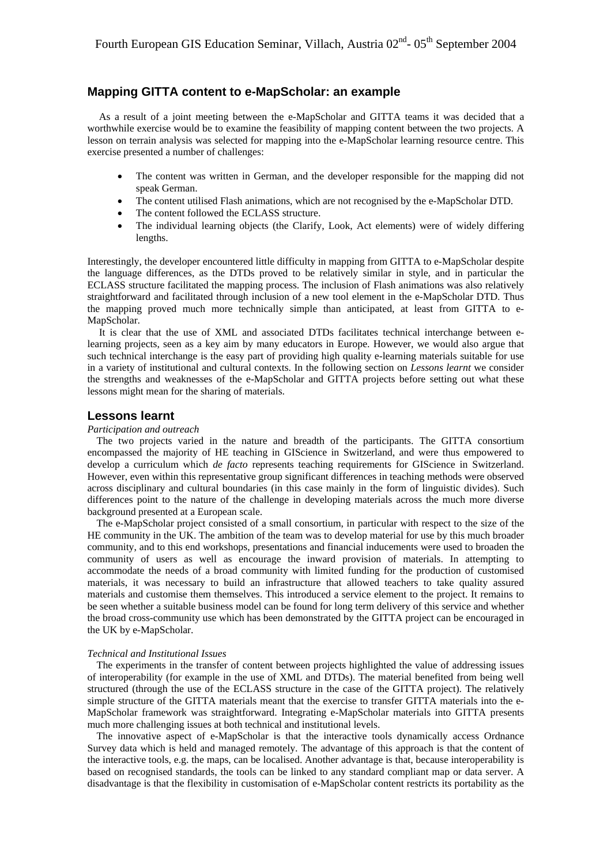# **Mapping GITTA content to e-MapScholar: an example**

As a result of a joint meeting between the e-MapScholar and GITTA teams it was decided that a worthwhile exercise would be to examine the feasibility of mapping content between the two projects. A lesson on terrain analysis was selected for mapping into the e-MapScholar learning resource centre. This exercise presented a number of challenges:

- The content was written in German, and the developer responsible for the mapping did not speak German.
- The content utilised Flash animations, which are not recognised by the e-MapScholar DTD.
- The content followed the ECLASS structure.
- The individual learning objects (the Clarify, Look, Act elements) were of widely differing lengths.

Interestingly, the developer encountered little difficulty in mapping from GITTA to e-MapScholar despite the language differences, as the DTDs proved to be relatively similar in style, and in particular the ECLASS structure facilitated the mapping process. The inclusion of Flash animations was also relatively straightforward and facilitated through inclusion of a new tool element in the e-MapScholar DTD. Thus the mapping proved much more technically simple than anticipated, at least from GITTA to e-MapScholar.

It is clear that the use of XML and associated DTDs facilitates technical interchange between elearning projects, seen as a key aim by many educators in Europe. However, we would also argue that such technical interchange is the easy part of providing high quality e-learning materials suitable for use in a variety of institutional and cultural contexts. In the following section on *Lessons learnt* we consider the strengths and weaknesses of the e-MapScholar and GITTA projects before setting out what these lessons might mean for the sharing of materials.

## **Lessons learnt**

#### *Participation and outreach*

The two projects varied in the nature and breadth of the participants. The GITTA consortium encompassed the majority of HE teaching in GIScience in Switzerland, and were thus empowered to develop a curriculum which *de facto* represents teaching requirements for GIScience in Switzerland. However, even within this representative group significant differences in teaching methods were observed across disciplinary and cultural boundaries (in this case mainly in the form of linguistic divides). Such differences point to the nature of the challenge in developing materials across the much more diverse background presented at a European scale.

The e-MapScholar project consisted of a small consortium, in particular with respect to the size of the HE community in the UK. The ambition of the team was to develop material for use by this much broader community, and to this end workshops, presentations and financial inducements were used to broaden the community of users as well as encourage the inward provision of materials. In attempting to accommodate the needs of a broad community with limited funding for the production of customised materials, it was necessary to build an infrastructure that allowed teachers to take quality assured materials and customise them themselves. This introduced a service element to the project. It remains to be seen whether a suitable business model can be found for long term delivery of this service and whether the broad cross-community use which has been demonstrated by the GITTA project can be encouraged in the UK by e-MapScholar.

#### *Technical and Institutional Issues*

The experiments in the transfer of content between projects highlighted the value of addressing issues of interoperability (for example in the use of XML and DTDs). The material benefited from being well structured (through the use of the ECLASS structure in the case of the GITTA project). The relatively simple structure of the GITTA materials meant that the exercise to transfer GITTA materials into the e-MapScholar framework was straightforward. Integrating e-MapScholar materials into GITTA presents much more challenging issues at both technical and institutional levels.

The innovative aspect of e-MapScholar is that the interactive tools dynamically access Ordnance Survey data which is held and managed remotely. The advantage of this approach is that the content of the interactive tools, e.g. the maps, can be localised. Another advantage is that, because interoperability is based on recognised standards, the tools can be linked to any standard compliant map or data server. A disadvantage is that the flexibility in customisation of e-MapScholar content restricts its portability as the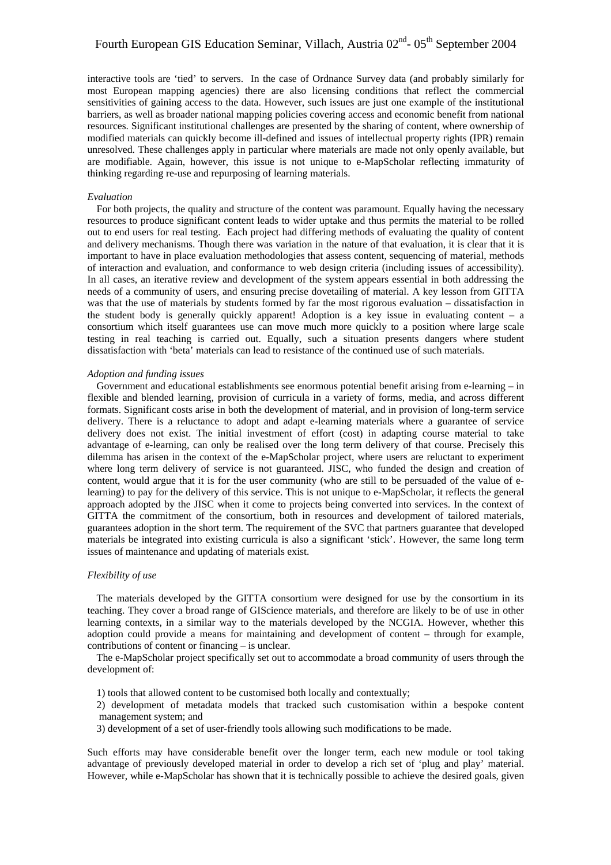interactive tools are 'tied' to servers. In the case of Ordnance Survey data (and probably similarly for most European mapping agencies) there are also licensing conditions that reflect the commercial sensitivities of gaining access to the data. However, such issues are just one example of the institutional barriers, as well as broader national mapping policies covering access and economic benefit from national resources. Significant institutional challenges are presented by the sharing of content, where ownership of modified materials can quickly become ill-defined and issues of intellectual property rights (IPR) remain unresolved. These challenges apply in particular where materials are made not only openly available, but are modifiable. Again, however, this issue is not unique to e-MapScholar reflecting immaturity of thinking regarding re-use and repurposing of learning materials.

### *Evaluation*

For both projects, the quality and structure of the content was paramount. Equally having the necessary resources to produce significant content leads to wider uptake and thus permits the material to be rolled out to end users for real testing. Each project had differing methods of evaluating the quality of content and delivery mechanisms. Though there was variation in the nature of that evaluation, it is clear that it is important to have in place evaluation methodologies that assess content, sequencing of material, methods of interaction and evaluation, and conformance to web design criteria (including issues of accessibility). In all cases, an iterative review and development of the system appears essential in both addressing the needs of a community of users, and ensuring precise dovetailing of material. A key lesson from GITTA was that the use of materials by students formed by far the most rigorous evaluation – dissatisfaction in the student body is generally quickly apparent! Adoption is a key issue in evaluating content – a consortium which itself guarantees use can move much more quickly to a position where large scale testing in real teaching is carried out. Equally, such a situation presents dangers where student dissatisfaction with 'beta' materials can lead to resistance of the continued use of such materials.

#### *Adoption and funding issues*

Government and educational establishments see enormous potential benefit arising from e-learning – in flexible and blended learning, provision of curricula in a variety of forms, media, and across different formats. Significant costs arise in both the development of material, and in provision of long-term service delivery. There is a reluctance to adopt and adapt e-learning materials where a guarantee of service delivery does not exist. The initial investment of effort (cost) in adapting course material to take advantage of e-learning, can only be realised over the long term delivery of that course. Precisely this dilemma has arisen in the context of the e-MapScholar project, where users are reluctant to experiment where long term delivery of service is not guaranteed. JISC, who funded the design and creation of content, would argue that it is for the user community (who are still to be persuaded of the value of elearning) to pay for the delivery of this service. This is not unique to e-MapScholar, it reflects the general approach adopted by the JISC when it come to projects being converted into services. In the context of GITTA the commitment of the consortium, both in resources and development of tailored materials, guarantees adoption in the short term. The requirement of the SVC that partners guarantee that developed materials be integrated into existing curricula is also a significant 'stick'. However, the same long term issues of maintenance and updating of materials exist.

#### *Flexibility of use*

The materials developed by the GITTA consortium were designed for use by the consortium in its teaching. They cover a broad range of GIScience materials, and therefore are likely to be of use in other learning contexts, in a similar way to the materials developed by the NCGIA. However, whether this adoption could provide a means for maintaining and development of content – through for example, contributions of content or financing – is unclear.

The e-MapScholar project specifically set out to accommodate a broad community of users through the development of:

- 1) tools that allowed content to be customised both locally and contextually;
- 2) development of metadata models that tracked such customisation within a bespoke content management system; and
- 3) development of a set of user-friendly tools allowing such modifications to be made.

Such efforts may have considerable benefit over the longer term, each new module or tool taking advantage of previously developed material in order to develop a rich set of 'plug and play' material. However, while e-MapScholar has shown that it is technically possible to achieve the desired goals, given